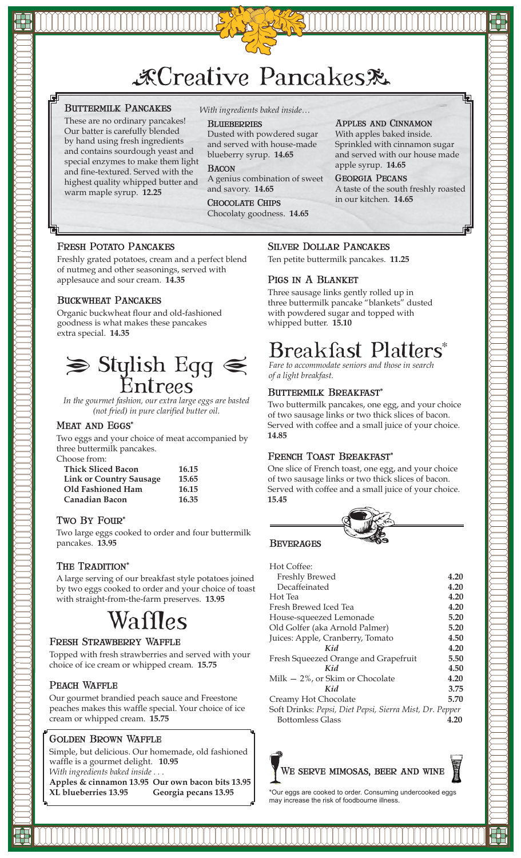## 次Creative Pancakes&

## Buttermilk Pancakes

These are no ordinary pancakes! Our batter is carefully blended by hand using fresh ingredients and contains sourdough yeast and special enzymes to make them light and fine-textured. Served with the highest quality whipped butter and warm maple syrup. **12.25**

*With ingredients baked inside…*

#### **BLUEBERRIES**

Dusted with powdered sugar and served with house-made blueberry syrup. **14.65**

**BACON** A genius combination of sweet and savory. **14.65**

Chocolate Chips Chocolaty goodness. **14.65**

#### Apples and Cinnamon With apples baked inside. Sprinkled with cinnamon sugar

and served with our house made apple syrup. **14.65**

Georgia Pecans A taste of the south freshly roasted in our kitchen. **14.65**

## Fresh Potato Pancakes

Freshly grated potatoes, cream and a perfect blend of nutmeg and other seasonings, served with applesauce and sour cream. **14.35**

## Buckwheat Pancakes

Organic buckwheat flour and old-fashioned goodness is what makes these pancakes extra special. **14.35**



*In the gourmet fashion, our extra large eggs are basted (not fried) in pure clarified butter oil.*

#### MEAT AND EGGS\*

Two eggs and your choice of meat accompanied by three buttermilk pancakes. Choose from:

| TIOOS TIOITI.                  |       |
|--------------------------------|-------|
| <b>Thick Sliced Bacon</b>      | 16.15 |
| <b>Link or Country Sausage</b> | 15.65 |
| Old Fashioned Ham              | 16.15 |
| <b>Canadian Bacon</b>          | 16.35 |

## Two BY Four\*

Two large eggs cooked to order and four buttermilk pancakes. **13.95**

## THE TRADITION<sup>\*</sup>

A large serving of our breakfast style potatoes joined by two eggs cooked to order and your choice of toast with straight-from-the-farm preserves. **13.95**

## Waffles

## Fresh Strawberry Waffle

Topped with fresh strawberries and served with your choice of ice cream or whipped cream. **15.75**

## PEACH WAFFLE

Our gourmet brandied peach sauce and Freestone peaches makes this waffle special. Your choice of ice cream or whipped cream. **15.75**

## Golden Brown Waffle

Simple, but delicious. Our homemade, old fashioned waffle is a gourmet delight. **10.95** *With ingredients baked inside . . .*

**Apples & cinnamon 13.95 Our own bacon bits 13.95 XL blueberries 13.95 Georgia pecans 13.95**

## Silver Dollar Pancakes

Ten petite buttermilk pancakes. **11.25**

## Pigs in A Blanket

Three sausage links gently rolled up in three buttermilk pancake "blankets" dusted with powdered sugar and topped with whipped butter. **15.10**

## Breakfast Platters\*

*Fare to accommodate seniors and those in search of a light breakfast.*

## BUTTERMILK BREAKFAST\*

Two buttermilk pancakes, one egg, and your choice of two sausage links or two thick slices of bacon. Served with coffee and a small juice of your choice. **14.85**

## FRENCH TOAST BREAKFAST\*

One slice of French toast, one egg, and your choice of two sausage links or two thick slices of bacon. Served with coffee and a small juice of your choice. **15.45**



#### **BEVERAGES**

| Hot Coffee:                                             |      |
|---------------------------------------------------------|------|
| Freshly Brewed                                          | 4.20 |
| Decaffeinated                                           | 4.20 |
| Hot Tea                                                 | 4.20 |
| Fresh Brewed Iced Tea                                   | 4.20 |
| House-squeezed Lemonade                                 | 5.20 |
| Old Golfer (aka Arnold Palmer)                          | 5.20 |
| Juices: Apple, Cranberry, Tomato                        | 4.50 |
| Kid                                                     | 4.20 |
| Fresh Squeezed Orange and Grapefruit                    | 5.50 |
| Kid                                                     | 4.50 |
| Milk $-2\%$ , or Skim or Chocolate                      | 4.20 |
| Kid                                                     | 3.75 |
| Creamy Hot Chocolate                                    | 5.70 |
| Soft Drinks: Pepsi, Diet Pepsi, Sierra Mist, Dr. Pepper |      |
| Bottomless Glass                                        | 4.20 |



\*Our eggs are cooked to order. Consuming undercooked eggs may increase the risk of foodbourne illness.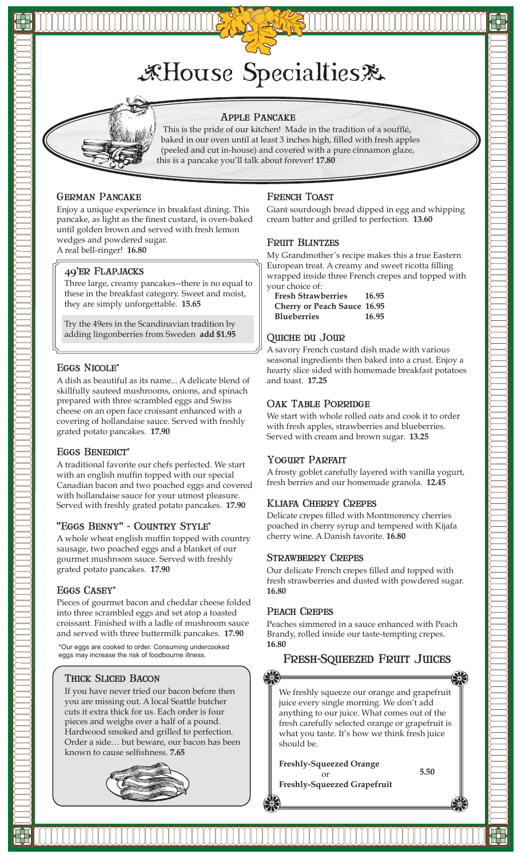



#### Apple Pancake

 This is the pride of our kitchen! Made in the tradition of a soufflé, baked in our oven until at least 3 inches high, filled with fresh apples (peeled and cut in-house) and covered with a pure cinnamon glaze, this is a pancake you'll talk about forever! **17.80**

#### German Pancake

Enjoy a unique experience in breakfast dining. This pancake, as light as the finest custard, is oven-baked until golden brown and served with fresh lemon wedges and powdered sugar. A real bell-ringer! **16.80**

#### 49'er Flapjacks

Three large, creamy pancakes--there is no equal to these in the breakfast category. Sweet and moist, they are simply unforgettable. **15.65**

Try the 49ers in the Scandinavian tradition by adding lingonberries from Sweden **add \$1.95**

#### Eggs Nicole\*

A dish as beautiful as its name... A delicate blend of skillfully sauteed mushrooms, onions, and spinach prepared with three scrambled eggs and Swiss cheese on an open face croissant enhanced with a covering of hollandaise sauce. Served with freshly grated potato pancakes. **17.90**

#### Eggs Benedict\*

A traditional favorite our chefs perfected. We start with an english muffin topped with our special Canadian bacon and two poached eggs and covered with hollandaise sauce for your utmost pleasure. Served with freshly grated potato pancakes. **17.90**

#### "Eggs Benny" - Country Style\*

A whole wheat english muffin topped with country sausage, two poached eggs and a blanket of our gourmet mushroom sauce. Served with freshly grated potato pancakes. **17.90**

#### Eggs Casey\*

Pieces of gourmet bacon and cheddar cheese folded into three scrambled eggs and set atop a toasted croissant. Finished with a ladle of mushroom sauce and served with three buttermilk pancakes. **17.90**

\*Our eggs are cooked to order. Consuming undercooked eggs may increase the risk of foodbourne illness.

#### Thick Sliced Bacon

If you have never tried our bacon before then you are missing out. A local Seattle butcher cuts it extra thick for us. Each order is four pieces and weighs over a half of a pound. Hardwood smoked and grilled to perfection. Order a side… but beware, our bacon has been known to cause selfishness. **7.65**



#### French Toast

Giant sourdough bread dipped in egg and whipping cream batter and grilled to perfection. **13.60**

#### Fruit Blintzes

My Grandmother's recipe makes this a true Eastern European treat. A creamy and sweet ricotta filling wrapped inside three French crepes and topped with your choice of:

| <b>Fresh Strawberries</b>          | 16.95 |
|------------------------------------|-------|
| <b>Cherry or Peach Sauce 16.95</b> |       |
| <b>Blueberries</b>                 | 16.95 |

#### Quiche du Jour

A savory French custard dish made with various seasonal ingredients then baked into a crust. Enjoy a hearty slice sided with homemade breakfast potatoes and toast. **17.25**

#### OAK TABLE PORRIDGE

We start with whole rolled oats and cook it to order with fresh apples, strawberries and blueberries. Served with cream and brown sugar. **13.25**

#### YOGURT PARFAIT

A frosty goblet carefully layered with vanilla yogurt, fresh berries and our homemade granola. **12.45**

#### Kijafa Cherry Crepes

Delicate crepes filled with Montmorency cherries poached in cherry syrup and tempered with Kijafa cherry wine. A Danish favorite. **16.80**

#### Strawberry Crepes

Our delicate French crepes filled and topped with fresh strawberries and dusted with powdered sugar. **16.80**

#### PEACH CREPES

Peaches simmered in a sauce enhanced with Peach Brandy, rolled inside our taste-tempting crepes. **16.80**

## Fresh-Squeezed Fruit Juices

We freshly squeeze our orange and grapefruit juice every single morning. We don't add anything to our juice. What comes out of the fresh carefully selected orange or grapefruit is what you taste. It's how we think fresh juice should be.

**Freshly-Squeezed Orange** or

**Freshly-Squeezed Grapefruit**

**5.50**